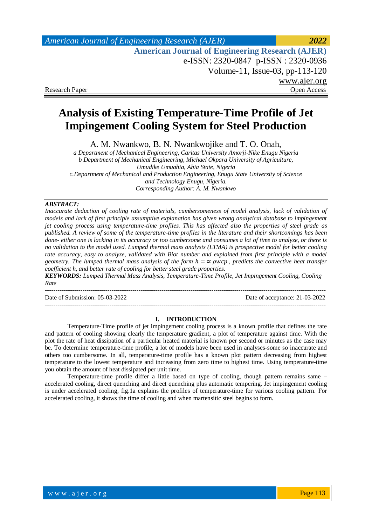## *American Journal of Engineering Research (AJER) 2022*  **American Journal of Engineering Research (AJER)** e-ISSN: 2320-0847 p-ISSN : 2320-0936 Volume-11, Issue-03, pp-113-120 www.ajer.org Research Paper **Open Access** Open Access **Open Access**

# **Analysis of Existing Temperature-Time Profile of Jet Impingement Cooling System for Steel Production**

A. M. Nwankwo, B. N. Nwankwojike and T. O. Onah,

*a Department of Mechanical Engineering, Caritas University Amorji-Nike Enugu Nigeria b Department of Mechanical Engineering, Michael Okpara University of Agriculture, Umudike Umuahia, Abia State, Nigeria c.Department of Mechanical and Production Engineering, Enugu State University of Science and Technology Enugu, Nigeria. Corresponding Author: A. M. Nwankwo*

### *ABSTRACT:*

*Inaccurate deduction of cooling rate of materials, cumbersomeness of model analysis, lack of validation of models and lack of first principle assumptive explanation has given wrong analytical database to impingement jet cooling process using temperature-time profiles. This has affected also the properties of steel grade as published. A review of some of the temperature-time profiles in the literature and their shortcomings has been done- either one is lacking in its accuracy or too cumbersome and consumes a lot of time to analyze, or there is no validation to the model used. Lumped thermal mass analysis (LTMA) is prospective model for better cooling rate accuracy, easy to analyze, validated with Biot number and explained from first principle with a model geometry. The lumped thermal mass analysis of the form*  $h = \alpha \rho w c p$ *, predicts the convective heat transfer coefficient h, and better rate of cooling for better steel grade properties.*

*KEYWORDS: Lumped Thermal Mass Analysis, Temperature-Time Profile, Jet Impingement Cooling, Cooling Rate* ---------------------------------------------------------------------------------------------------------------------------------------

Date of Submission: 05-03-2022 Date of acceptance: 21-03-2022

---------------------------------------------------------------------------------------------------------------------------------------

#### **I. INTRODUCTION**

Temperature-Time profile of jet impingement cooling process is a known profile that defines the rate and pattern of cooling showing clearly the temperature gradient, a plot of temperature against time. With the plot the rate of heat dissipation of a particular heated material is known per second or minutes as the case may be. To determine temperature-time profile, a lot of models have been used in analyses-some so inaccurate and others too cumbersome. In all, temperature-time profile has a known plot pattern decreasing from highest temperature to the lowest temperature and increasing from zero time to highest time. Using temperature-time you obtain the amount of heat dissipated per unit time.

Temperature-time profile differ a little based on type of cooling, though pattern remains same – accelerated cooling, direct quenching and direct quenching plus automatic tempering. Jet impingement cooling is under accelerated cooling, fig.1a explains the profiles of temperature-time for various cooling pattern. For accelerated cooling, it shows the time of cooling and when martensitic steel begins to form.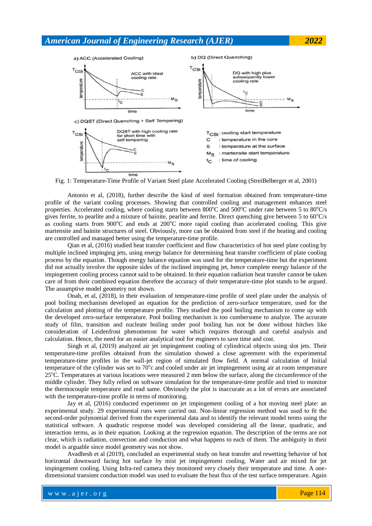

Fig. 1: Temperature-Time Profile of Variant Steel plate Accelerated Cooling (StreiBelberger et al, 2001)

Antonio et al, (2018), further describe the kind of steel formation obtained from temperature-time profile of the variant cooling processes. Showing that controlled cooling and management enhances steel properties. Accelerated cooling, where cooling starts between  $800^{\circ}$ C and  $500^{\circ}$ C under rate between 5 to  $80^{\circ}$ C/s gives ferrite, to pearlite and a mixture of bainite, pearlite and ferrite. Direct quenching give between 5 to  $60^{\circ}$ C/s as cooling starts from  $900^{\circ}$ C and ends at  $200^{\circ}$ C more rapid cooling than accelerated cooling. This give martensite and bainite structures of steel. Obviously, more can be obtained from steel if the heating and cooling are controlled and managed better using the temperature-time profile.

Qian et al, (2016) studied heat transfer coefficient and flow characteristics of hot steel plate cooling by multiple inclined impinging jets, using energy balance for determining heat transfer coefficient of plate cooling process by the equation. Though energy balance equation was used for the temperature-time but the experiment did not actually involve the opposite sides of the inclined impinging jet, hence complete energy balance of the impingement cooling process cannot said to be obtained. In their equation radiation heat transfer cannot be taken care of from their combined equation therefore the accuracy of their temperature-time plot stands to be argued. The assumptive model geometry not shown.

Onah, et al, (2018), in their evaluation of temperature-time profile of steel plate under the analysis of pool boiling mechanism developed an equation for the prediction of zero-surface temperature, used for the calculation and plotting of the temperature profile. They studied the pool boiling mechanism to come up with the developed zero-surface temperature. Pool boiling mechanism is too cumbersome to analyze. The accurate study of film, transition and nucleate boiling under pool boiling has not be done without hitches like consideration of Leidenfrost phenomenon for water which requires thorough and careful analysis and calculation. Hence, the need for an easier analytical tool for engineers to save time and cost.

Singh et al, (2019) analyzed air jet impingement cooling of cylindrical objects using slot jets. Their temperature-time profiles obtained from the simulation showed a close agreement with the experimental temperature-time profiles in the wall-jet region of simulated flow field. A normal calculation of Initial temperature of the cylinder was set to  $70^{\circ}$ c and cooled under air jet impingement using air at room temperature 25<sup>o</sup>C. Temperatures at various locations were measured 2 mm below the surface, along the circumference of the middle cylinder. They fully relied on software simulation for the temperature-time profile and tried to monitor the thermocouple temperature and read same. Obviously the plot is inaccurate as a lot of errors are associated with the temperature-time profile in terms of monitoring.

Jay et al, (2016) conducted experiment on jet impingement cooling of a hot moving steel plate: an experimental study. 29 experimental runs were carried out. Non-linear regression method was used to fit the second-order polynomial derived from the experimental data and to identify the relevant model terms using the statistical software. A quadratic response model was developed considering all the linear, quadratic, and interaction terms, as in their equation. Looking at the regression equation. The description of the terms are not clear, which is radiation, convection and conduction and what happens to each of them. The ambiguity in their model is arguable since model geometry was not show.

Avadhesh et al (2019), concluded an experimental study on heat transfer and rewetting behavior of hot horizontal downward facing hot surface by mist jet impingement cooling. Water and air mixed for jet impingement cooling. Using Infra-red camera they monitored very closely their temperature and time. A onedimensional transient conduction model was used to evaluate the heat flux of the test surface temperature. Again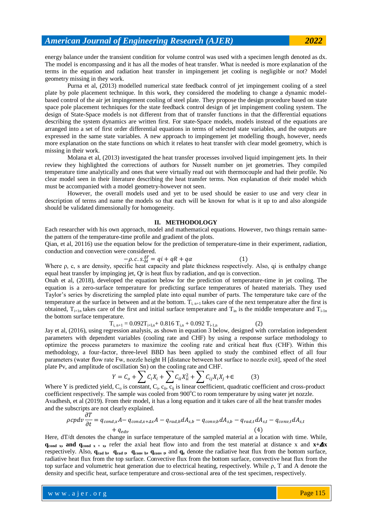energy balance under the transient condition for volume control was used with a specimen length denoted as dx. The model is encompassing and it has all the modes of heat transfer. What is needed is more explanation of the terms in the equation and radiation heat transfer in impingement jet cooling is negligible or not? Model geometry missing in they work.

Purna et al, (2013) modelled numerical state feedback control of jet impingement cooling of a steel plate by pole placement technique. In this work, they considered the modeling to change a dynamic modelbased control of the air jet impingement cooling of steel plate. They propose the design procedure based on state space pole placement techniques for the state feedback control design of jet impingement cooling system. The design of State-Space models is not different from that of transfer functions in that the differential equations describing the system dynamics are written first. For state-Space models, models instead of the equations are arranged into a set of first order differential equations in terms of selected state variables, and the outputs are expressed in the same state variables. A new approach to impingement jet modelling though, however, needs more explanation on the state functions on which it relates to heat transfer with clear model geometry, which is missing in their work.

Molana et al, (2013) investigated the heat transfer processes involved liquid impingement jets. In their review they highlighted the corrections of authors for Nusselt number on jet geometries. They compiled temperature time analytically and ones that were virtually read out with thermocouple and had their profile. No clear model seen in their literature describing the heat transfer terms. Non explanation of their model which must be accompanied with a model geometry-however not seen.

However, the overall models used and yet to be used should be easier to use and very clear in description of terms and name the models so that each will be known for what is it up to and also alongside should be validated dimensionally for homogeneity.

### **II. METHODOLOGY**

Each researcher with his own approach, model and mathematical equations. However, two things remain samethe pattern of the temperature-time profile and gradient of the plots.

Qian, et al, 20116) use the equation below for the prediction of temperature-time in their experiment, radiation, conduction and convection were considered.

$$
-\rho.c.s.\_{\Delta t}^{\Delta T} = qi + qR + q\alpha \tag{1}
$$

Where ρ, c, s are density, specific heat capacity and plate thickness respectively. Also, qi is enthalpy change equal heat transfer by impinging jet, Qr is heat flux by radiation, and  $q\alpha$  is convection.

Onah et al, (2018), developed the equation below for the prediction of temperature-time in jet cooling. The equation is a zero-surface temperature for predicting surface temperatures of heated materials. They used Taylor's series by discretizing the sampled plate into equal number of parts. The temperature take care of the temperature at the surface in between and at the bottom.  $T_{i, n+1}$  takes care of the next temperature after the first is obtained,  $T_{i+1n}$  takes care of the first and initial surface temperature and  $T_{in}$  is the middle temperature and  $T_{i-1n}$ the bottom surface temperature.

$$
T_{i, n+1} = 0.092T_{i+I,n} + 0.816 T_{i,n} + 0.092 T_{i-1,n}
$$
 (2)

Jay et al, (2016), using regression analysis, as shown in equation 3 below, designed with correlation independent parameters with dependent variables (cooling rate and CHF) by using a response surface methodology to optimize the process parameters to maximize the cooling rate and critical heat flux (CHF). Within this methodology, a four-factor, three-level BBD has been applied to study the combined effect of all four parameters (water flow rate Fw, nozzle height H [distance between hot surface to nozzle exit], speed of the steel plate Pv, and amplitude of oscillation Sn) on the cooling rate and CHF.

$$
Y = C_o + \sum C_i X_i + \sum C_{ii} X_{ii}^2 + \sum C_{ij} X_i X_j + \epsilon
$$
 (3)

Where Y is predicted yield,  $C_0$  is constant,  $C_i$ ,  $c_{ii}$ ,  $c_{jj}$  is linear coefficient, quadratic coefficient and cross-product coefficient respectively. The sample was cooled from  $900^{\circ}$ C to room temperature by using water jet nozzle. Avadhesh, et al (2019). From their model, it has a long equation and it takes care of all the heat transfer modes and the subscripts are not clearly explained.  $AT$ 

$$
\rho cpdv \frac{\partial r}{\partial t} = q_{cond,x}A - q_{cond,x+Ax}A - q_{rad,b}dA_{s,b} - q_{conv,b}dA_{s,b} - q_{rad,t}dA_{s,t} - q_{conv,t}dA_{s,t}
$$
  
+  $q_{edv}$  (4)

Here, dT/dt denotes the change in surface temperature of the sampled material at a location with time. While, **q**<sub>cond x</sub>, and q<sub>cond x</sub> + x<sub>i</sub>, refer the axial heat flow into and from the test material at distance x and  $x + \Delta x$ respectively. Also, **qrad b, qrad t, qconv b, qconv t,** and **q<sup>e</sup>** denote the radiative heat flux from the bottom surface, radiative heat flux from the top surface. Convective flux from the bottom surface, convective heat flux from the top surface and volumetric heat generation due to electrical heating, respectively. While ρ, T and A denote the density and specific heat, surface temperature and cross-sectional area of the test specimen, respectively.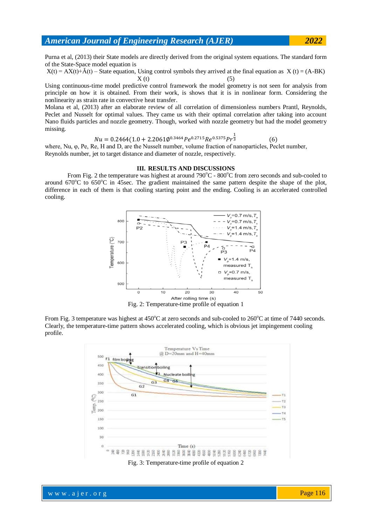Purna et al, (2013) their State models are directly derived from the original system equations. The standard form of the State-Space model equation is

 $X(t) = AX(t) + \tilde{A}(t) - State$  equation, Using control symbols they arrived at the final equation as  $X(t) = (A-BK)$  $X(t)$  (5)

Using continuous-time model predictive control framework the model geometry is not seen for analysis from principle on how it is obtained. From their work, is shows that it is in nonlinear form. Considering the nonlinearity as strain rate in convective heat transfer.

Molana et al, (2013) after an elaborate review of all correlation of dimensionless numbers Prantl, Reynolds, Peclet and Nusselt for optimal values. They came us with their optimal correlation after taking into account Nano fluids particles and nozzle geometry. Though, worked with nozzle geometry but had the model geometry missing.

$$
Nu = 0.2464(1.0 + 2.2061\emptyset^{0.3464}Pe^{0.2715}Re^{0.5375}Pr^{\frac{1}{3}}
$$
(6)

where, Nu, φ, Pe, Re, H and D, are the Nusselt number, volume fraction of nanoparticles, Peclet number, Reynolds number, jet to target distance and diameter of nozzle, respectively.

### **III. RESULTS AND DISCUSSIONS**

From Fig. 2 the temperature was highest at around 790 $^{\circ}$ C - 800 $^{\circ}$ C from zero seconds and sub-cooled to around  $670^{\circ}$ C to  $650^{\circ}$ C in 45sec. The gradient maintained the same pattern despite the shape of the plot, difference in each of them is that cooling starting point and the ending. Cooling is an accelerated controlled cooling.



Fig. 2: Temperature-time profile of equation 1

From Fig. 3 temperature was highest at  $450^{\circ}$ C at zero seconds and sub-cooled to  $260^{\circ}$ C at time of 7440 seconds. Clearly, the temperature-time pattern shows accelerated cooling, which is obvious jet impingement cooling profile.

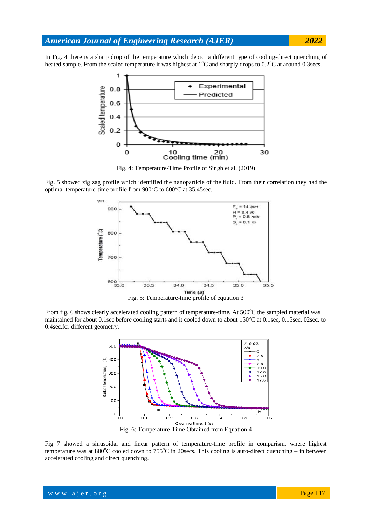In Fig. 4 there is a sharp drop of the temperature which depict a different type of cooling-direct quenching of heated sample. From the scaled temperature it was highest at  $1^{\circ}$ C and sharply drops to 0.2 $^{\circ}$ C at around 0.3secs.



Fig. 4: Temperature-Time Profile of Singh et al, (2019)

Fig. 5 showed zig zag profile which identified the nanoparticle of the fluid. From their correlation they had the optimal temperature-time profile from  $900^{\circ}$ C to  $600^{\circ}$ C at 35.45sec.



Fig. 5: Temperature-time profile of equation 3

From fig. 6 shows clearly accelerated cooling pattern of temperature-time. At 500°C the sampled material was maintained for about 0.1sec before cooling starts and it cooled down to about 150°C at 0.1sec, 0.15sec, 02sec, to 0.4sec.for different geometry.



Fig. 6: Temperature-Time Obtained from Equation 4

Fig 7 showed a sinusoidal and linear pattern of temperature-time profile in comparism, where highest temperature was at 800 $^{\circ}$ C cooled down to 755 $^{\circ}$ C in 20secs. This cooling is auto-direct quenching – in between accelerated cooling and direct quenching.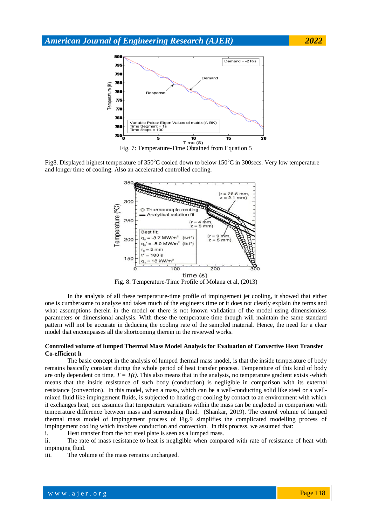

Fig. 7: Temperature-Time Obtained from Equation 5

Fig8. Displayed highest temperature of  $350^{\circ}$ C cooled down to below  $150^{\circ}$ C in 300secs. Very low temperature and longer time of cooling. Also an accelerated controlled cooling.



Fig. 8: Temperature-Time Profile of Molana et al, (2013)

In the analysis of all these temperature-time profile of impingement jet cooling, it showed that either one is cumbersome to analyze and takes much of the engineers time or it does not clearly explain the terms and what assumptions therein in the model or there is not known validation of the model using dimensionless parameters or dimensional analysis. With these the temperature-time though will maintain the same standard pattern will not be accurate in deducing the cooling rate of the sampled material. Hence, the need for a clear model that encompasses all the shortcoming therein in the reviewed works.

#### **Controlled volume of lumped Thermal Mass Model Analysis for Evaluation of Convective Heat Transfer Co-efficient h**

The basic concept in the analysis of lumped thermal mass model, is that the inside temperature of body remains basically constant during the whole period of heat transfer process. Temperature of this kind of body are only dependent on time,  $T = T(t)$ . This also means that in the analysis, no temperature gradient exists -which means that the inside resistance of such body (conduction) is negligible in comparison with its external resistance (convection). In this model, when a mass, which can be a well-conducting solid like steel or a wellmixed fluid like impingement fluids, is subjected to heating or cooling by contact to an environment with which it exchanges heat, one assumes that temperature variations within the mass can be neglected in comparison with temperature difference between mass and surrounding fluid. (Shankar, 2019). The control volume of lumped thermal mass model of impingement process of Fig.9 simplifies the complicated modelling process of impingement cooling which involves conduction and convection. In this process, we assumed that:

i. Heat transfer from the hot steel plate is seen as a lumped mass.

ii. The rate of mass resistance to heat is negligible when compared with rate of resistance of heat with impinging fluid.

iii. The volume of the mass remains unchanged.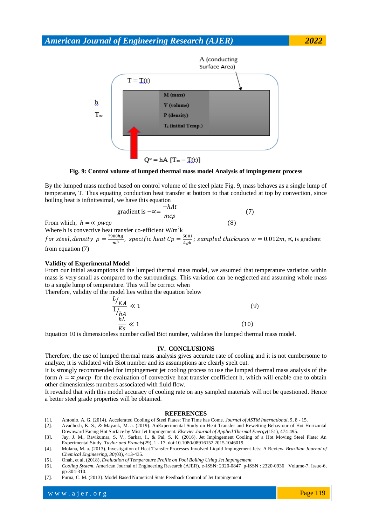

**Fig. 9: Control volume of lumped thermal mass model Analysis of impingement process**

By the lumped mass method based on control volume of the steel plate Fig. 9, mass behaves as a single lump of temperature, T. Thus equating conduction heat transfer at bottom to that conducted at top by convection, since boiling heat is infinitesimal, we have this equation

gradient is 
$$
-\propto = \frac{-hAt}{mcp}
$$
 (7)

From which,  $h = \alpha \rho w c p$ Where h is convective heat transfer co-efficient  $W/m^2k$ 

for steel, density  $\rho=\frac{7}{4}$  $\frac{100hg}{m^3}$ , specific heat Cp  $= \frac{5}{k}$  $\frac{\partial u_{0j}}{\partial k_{gk}}$ ; sampled thickness  $w = 0.012m$ ,  $\propto$ , is gradient from equation (7)

### **Validity of Experimental Model**

From our initial assumptions in the lumped thermal mass model, we assumed that temperature variation within mass is very small as compared to the surroundings. This variation can be neglected and assuming whole mass to a single lump of temperature. This will be correct when

Therefore, validity of the model lies within the equation below

$$
\frac{L_{/KA}}{1_{/hA}} \ll 1
$$
\n(9)\n
$$
\frac{hL}{Ks} \ll 1
$$
\n(10)

Equation 10 is dimensionless number called Biot number, validates the lumped thermal mass model.

#### **IV. CONCLUSIONS**

Therefore, the use of lumped thermal mass analysis gives accurate rate of cooling and it is not cumbersome to analyze, it is validated with Biot number and its assumptions are clearly spelt out.

It is strongly recommended for impingement jet cooling process to use the lumped thermal mass analysis of the form  $h = \infty$  *pwcp* for the evaluation of convective heat transfer coefficient h, which will enable one to obtain other dimensionless numbers associated with fluid flow.

It revealed that with this model accuracy of cooling rate on any sampled materials will not be questioned. Hence a better steel grade properties will be obtained.

#### **REFERENCES**

- [1]. Antonio, A. G. (2014). Accelerated Cooling of Steel Plates: The Time has Come. *Journal of ASTM International, 5*, 8 15.
- [2]. Avadhesh, K. S., & Mayank, M. a. (2019). AnExperimental Study on Heat Transfer and Rewetting Behaviour of Hot Horizontal Downward Facing Hot Surface by Mist Jet Impingement. *Elsevier Journal of Applied Thermal Energy*(151), 474-495.
- [3]. Jay, J. M., Ravikumar, S. V., Sarkar, I., & Pal, S. K. (2016). Jet Impingement Cooling of a Hot Moving Steel Plate: An Experimental Study. *Taylor and Francis*(29), 1 - 17. doi:10.1080/08916152.2015.1046019
- [4]. Molana, M. a. (2013). Investigation of Heat Transfer Processes Involved Liquid Impingement Jets: A Review. *Brazilian Journal of Chemical Engineering, 30*(03), 413-435.
- [5]. Onah, et al, (2018)*, Evaluation of Temperature Profile on Pool Boiling Using Jet Impingement*
- [6]. *Cooling System,* American Journal of Engineering Research (AJER)*,* e-ISSN: 2320-0847 p-ISSN : 2320-0936 Volume-7, Issue-6, pp-304-310.
- [7]. Purna, C. M. (2013). Model Based Numerical State Feedback Control of Jet Impingement

www.ajer.org where  $\mathcal{L} = \mathcal{L} \left( \mathcal{L} \right)$  is the set of  $\mathcal{L} \left( \mathcal{L} \right)$